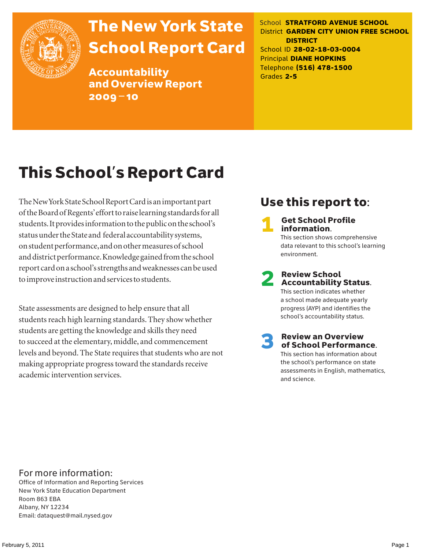

# The New York State School Report Card

Accountability and Overview Report 2009–10

School **STRATFORD AVENUE SCHOOL** District **GARDEN CITY UNION FREE SCHOOL DISTRICT** School ID **28-02-18-03-0004** Principal **DIANE HOPKINS** Telephone **(516) 478-1500** Grades **2-5**

# This School's Report Card

The New York State School Report Card is an important part of the Board of Regents' effort to raise learning standards for all students. It provides information to the public on the school's status under the State and federal accountability systems, on student performance, and on other measures of school and district performance. Knowledge gained from the school report card on a school's strengths and weaknesses can be used to improve instruction and services to students.

State assessments are designed to help ensure that all students reach high learning standards. They show whether students are getting the knowledge and skills they need to succeed at the elementary, middle, and commencement levels and beyond. The State requires that students who are not making appropriate progress toward the standards receive academic intervention services.

### Use this report to:

**Get School Profile** information. This section shows comprehensive data relevant to this school's learning environment.

# 2 Review School Accountability Status.

This section indicates whether a school made adequate yearly progress (AYP) and identifies the school's accountability status.

3 Review an Overview of School Performance. This section has information about the school's performance on state assessments in English, mathematics,

and science.

For more information:

Office of Information and Reporting Services New York State Education Department Room 863 EBA Albany, NY 12234 Email: dataquest@mail.nysed.gov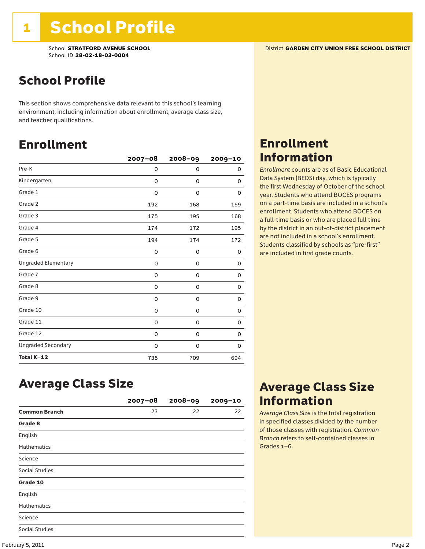School **STRATFORD AVENUE SCHOOL** District **GARDEN CITY UNION FREE SCHOOL DISTRICT** School ID **28-02-18-03-0004**

### School Profile

This section shows comprehensive data relevant to this school's learning environment, including information about enrollment, average class size, and teacher qualifications.

### Enrollment

|                            | $2007 - 08$ | 2008-09     | 2009-10 |
|----------------------------|-------------|-------------|---------|
| Pre-K                      | 0           | $\mathbf 0$ | 0       |
| Kindergarten               | 0           | 0           | 0       |
| Grade 1                    | 0           | 0           | 0       |
| Grade 2                    | 192         | 168         | 159     |
| Grade 3                    | 175         | 195         | 168     |
| Grade 4                    | 174         | 172         | 195     |
| Grade 5                    | 194         | 174         | 172     |
| Grade 6                    | 0           | 0           | 0       |
| <b>Ungraded Elementary</b> | $\Omega$    | 0           | 0       |
| Grade 7                    | 0           | 0           | 0       |
| Grade 8                    | 0           | 0           | 0       |
| Grade 9                    | 0           | 0           | 0       |
| Grade 10                   | 0           | 0           | 0       |
| Grade 11                   | 0           | 0           | 0       |
| Grade 12                   | 0           | 0           | 0       |
| <b>Ungraded Secondary</b>  | 0           | 0           | 0       |
| Total K-12                 | 735         | 709         | 694     |

### Enrollment Information

*Enrollment* counts are as of Basic Educational Data System (BEDS) day, which is typically the first Wednesday of October of the school year. Students who attend BOCES programs on a part-time basis are included in a school's enrollment. Students who attend BOCES on a full-time basis or who are placed full time by the district in an out-of-district placement are not included in a school's enrollment. Students classified by schools as "pre-first" are included in first grade counts.

### Average Class Size

|                      | $2007 - 08$ | $2008 - 09$ | $2009 - 10$ |
|----------------------|-------------|-------------|-------------|
| <b>Common Branch</b> | 23          | 22          | 22          |
| Grade 8              |             |             |             |
| English              |             |             |             |
| <b>Mathematics</b>   |             |             |             |
| Science              |             |             |             |
| Social Studies       |             |             |             |
| Grade 10             |             |             |             |
| English              |             |             |             |
| <b>Mathematics</b>   |             |             |             |
| Science              |             |             |             |
| Social Studies       |             |             |             |

### Average Class Size Information

*Average Class Size* is the total registration in specified classes divided by the number of those classes with registration. *Common Branch* refers to self-contained classes in Grades 1–6.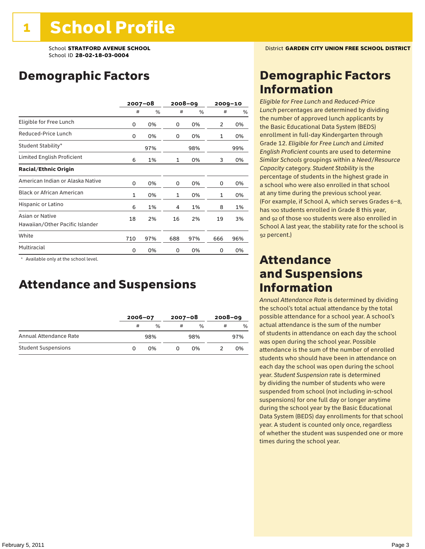### Demographic Factors

|                                                    |              | $2007 - 08$ |              | 2008-09 |     | $2009 - 10$ |
|----------------------------------------------------|--------------|-------------|--------------|---------|-----|-------------|
|                                                    | #            | %           | #            | %       | #   | %           |
| Eligible for Free Lunch                            | 0            | 0%          | 0            | 0%      | 2   | 0%          |
| Reduced-Price Lunch                                | 0            | 0%          | 0            | 0%      | 1   | 0%          |
| Student Stability*                                 |              | 97%         |              | 98%     |     | 99%         |
| Limited English Proficient                         | 6            | 1%          | 1            | 0%      | 3   | 0%          |
| <b>Racial/Ethnic Origin</b>                        |              |             |              |         |     |             |
| American Indian or Alaska Native                   | 0            | 0%          | 0            | 0%      | 0   | 0%          |
| <b>Black or African American</b>                   | $\mathbf{1}$ | 0%          | $\mathbf{1}$ | 0%      | 1   | 0%          |
| Hispanic or Latino                                 | 6            | 1%          | 4            | 1%      | 8   | 1%          |
| Asian or Native<br>Hawaiian/Other Pacific Islander | 18           | 2%          | 16           | 2%      | 19  | 3%          |
| White                                              | 710          | 97%         | 688          | 97%     | 666 | 96%         |
| Multiracial                                        | 0            | 0%          | 0            | 0%      | 0   | 0%          |

 \* Available only at the school level.

### Attendance and Suspensions

|                            |   | $2006 - 07$ |   | $2007 - 08$ |   | $2008 - 09$   |  |
|----------------------------|---|-------------|---|-------------|---|---------------|--|
|                            | # | $\%$        | # | $\%$        | # | $\frac{0}{6}$ |  |
| Annual Attendance Rate     |   | 98%         |   | 98%         |   | 97%           |  |
| <b>Student Suspensions</b> |   | 0%          |   | በ%          |   | 0%            |  |

### Demographic Factors Information

*Eligible for Free Lunch* and *Reduced*-*Price Lunch* percentages are determined by dividing the number of approved lunch applicants by the Basic Educational Data System (BEDS) enrollment in full-day Kindergarten through Grade 12. *Eligible for Free Lunch* and *Limited English Proficient* counts are used to determine *Similar Schools* groupings within a *Need*/*Resource Capacity* category. *Student Stability* is the percentage of students in the highest grade in a school who were also enrolled in that school at any time during the previous school year. (For example, if School A, which serves Grades 6–8, has 100 students enrolled in Grade 8 this year, and 92 of those 100 students were also enrolled in School A last year, the stability rate for the school is 92 percent.)

### Attendance and Suspensions Information

*Annual Attendance Rate* is determined by dividing the school's total actual attendance by the total possible attendance for a school year. A school's actual attendance is the sum of the number of students in attendance on each day the school was open during the school year. Possible attendance is the sum of the number of enrolled students who should have been in attendance on each day the school was open during the school year. *Student Suspension* rate is determined by dividing the number of students who were suspended from school (not including in-school suspensions) for one full day or longer anytime during the school year by the Basic Educational Data System (BEDS) day enrollments for that school year. A student is counted only once, regardless of whether the student was suspended one or more times during the school year.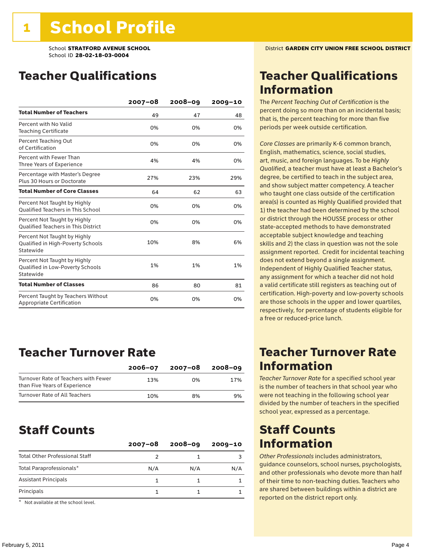### Teacher Qualifications

|                                                                                | $2007 - 08$ | $2008 - 09$ | $2009 - 10$ |
|--------------------------------------------------------------------------------|-------------|-------------|-------------|
| <b>Total Number of Teachers</b>                                                | 49          | 47          | 48          |
| Percent with No Valid<br><b>Teaching Certificate</b>                           | 0%          | 0%          | 0%          |
| Percent Teaching Out<br>of Certification                                       | 0%          | 0%          | 0%          |
| Percent with Fewer Than<br>Three Years of Experience                           | 4%          | 4%          | 0%          |
| Percentage with Master's Degree<br>Plus 30 Hours or Doctorate                  | 27%         | 23%         | 29%         |
| <b>Total Number of Core Classes</b>                                            | 64          | 62          | 63          |
| Percent Not Taught by Highly<br><b>Qualified Teachers in This School</b>       | 0%          | 0%          | 0%          |
| Percent Not Taught by Highly<br><b>Oualified Teachers in This District</b>     | 0%          | 0%          | 0%          |
| Percent Not Taught by Highly<br>Qualified in High-Poverty Schools<br>Statewide | 10%         | 8%          | 6%          |
| Percent Not Taught by Highly<br>Qualified in Low-Poverty Schools<br>Statewide  | 1%          | 1%          | 1%          |
| <b>Total Number of Classes</b>                                                 | 86          | 80          | 81          |
| Percent Taught by Teachers Without<br>Appropriate Certification                | 0%          | 0%          | 0%          |

### Teacher Turnover Rate

|                                                                       | $2006 - 07$ | 2007-08 | 2008-09 |
|-----------------------------------------------------------------------|-------------|---------|---------|
| Turnover Rate of Teachers with Fewer<br>than Five Years of Experience | 13%         | በ%      | 17%     |
| Turnover Rate of All Teachers                                         | 10%         | 8%      | 9%      |

### Staff Counts

|                                       | $2007 - 08$ | $2008 - 09$ | $2009 - 10$ |
|---------------------------------------|-------------|-------------|-------------|
| <b>Total Other Professional Staff</b> |             |             |             |
| Total Paraprofessionals*              | N/A         | N/A         | N/A         |
| <b>Assistant Principals</b>           |             |             |             |
| Principals                            |             |             |             |

\* Not available at the school level.

### Teacher Qualifications Information

The *Percent Teaching Out of Certification* is the percent doing so more than on an incidental basis; that is, the percent teaching for more than five periods per week outside certification.

*Core Classes* are primarily K-6 common branch, English, mathematics, science, social studies, art, music, and foreign languages. To be *Highly Qualified*, a teacher must have at least a Bachelor's degree, be certified to teach in the subject area, and show subject matter competency. A teacher who taught one class outside of the certification area(s) is counted as Highly Qualified provided that 1) the teacher had been determined by the school or district through the HOUSSE process or other state-accepted methods to have demonstrated acceptable subject knowledge and teaching skills and 2) the class in question was not the sole assignment reported. Credit for incidental teaching does not extend beyond a single assignment. Independent of Highly Qualified Teacher status, any assignment for which a teacher did not hold a valid certificate still registers as teaching out of certification. High-poverty and low-poverty schools are those schools in the upper and lower quartiles, respectively, for percentage of students eligible for a free or reduced-price lunch.

### Teacher Turnover Rate Information

*Teacher Turnover Rate* for a specified school year is the number of teachers in that school year who were not teaching in the following school year divided by the number of teachers in the specified school year, expressed as a percentage.

### Staff Counts Information

*Other Professionals* includes administrators, guidance counselors, school nurses, psychologists, and other professionals who devote more than half of their time to non-teaching duties. Teachers who are shared between buildings within a district are reported on the district report only.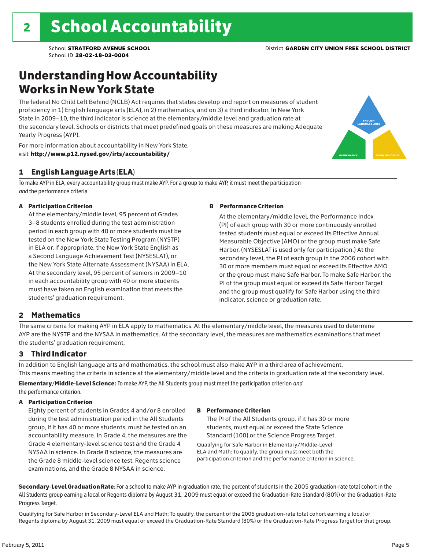### Understanding How Accountability Works in New York State

The federal No Child Left Behind (NCLB) Act requires that states develop and report on measures of student proficiency in 1) English language arts (ELA), in 2) mathematics, and on 3) a third indicator. In New York State in 2009–10, the third indicator is science at the elementary/middle level and graduation rate at the secondary level. Schools or districts that meet predefined goals on these measures are making Adequate Yearly Progress (AYP).

For more information about accountability in New York State, visit: http://www.p12.nysed.gov/irts/accountability/

### 1 English Language Arts (ELA)

To make AYP in ELA, every accountability group must make AYP. For a group to make AYP, it must meet the participation *and* the performance criteria.

#### A Participation Criterion

At the elementary/middle level, 95 percent of Grades 3–8 students enrolled during the test administration period in each group with 40 or more students must be tested on the New York State Testing Program (NYSTP) in ELA or, if appropriate, the New York State English as a Second Language Achievement Test (NYSESLAT), or the New York State Alternate Assessment (NYSAA) in ELA. At the secondary level, 95 percent of seniors in 2009–10 in each accountability group with 40 or more students must have taken an English examination that meets the students' graduation requirement.

#### B Performance Criterion

At the elementary/middle level, the Performance Index (PI) of each group with 30 or more continuously enrolled tested students must equal or exceed its Effective Annual Measurable Objective (AMO) or the group must make Safe Harbor. (NYSESLAT is used only for participation.) At the secondary level, the PI of each group in the 2006 cohort with 30 or more members must equal or exceed its Effective AMO or the group must make Safe Harbor. To make Safe Harbor, the PI of the group must equal or exceed its Safe Harbor Target and the group must qualify for Safe Harbor using the third indicator, science or graduation rate.

#### 2 Mathematics

The same criteria for making AYP in ELA apply to mathematics. At the elementary/middle level, the measures used to determine AYP are the NYSTP and the NYSAA in mathematics. At the secondary level, the measures are mathematics examinations that meet the students' graduation requirement.

#### 3 Third Indicator

In addition to English language arts and mathematics, the school must also make AYP in a third area of achievement. This means meeting the criteria in science at the elementary/middle level and the criteria in graduation rate at the secondary level.

Elementary/Middle-Level Science: To make AYP, the All Students group must meet the participation criterion *and* the performance criterion.

#### A Participation Criterion

Eighty percent of students in Grades 4 and/or 8 enrolled during the test administration period in the All Students group, if it has 40 or more students, must be tested on an accountability measure. In Grade 4, the measures are the Grade 4 elementary-level science test and the Grade 4 NYSAA in science. In Grade 8 science, the measures are the Grade 8 middle-level science test, Regents science examinations, and the Grade 8 NYSAA in science.

#### B Performance Criterion

The PI of the All Students group, if it has 30 or more students, must equal or exceed the State Science Standard (100) or the Science Progress Target.

Qualifying for Safe Harbor in Elementary/Middle-Level ELA and Math: To qualify, the group must meet both the participation criterion and the performance criterion in science.

Secondary-Level Graduation Rate: For a school to make AYP in graduation rate, the percent of students in the 2005 graduation-rate total cohort in the All Students group earning a local or Regents diploma by August 31, 2009 must equal or exceed the Graduation-Rate Standard (80%) or the Graduation-Rate Progress Target.

Qualifying for Safe Harbor in Secondary-Level ELA and Math: To qualify, the percent of the 2005 graduation-rate total cohort earning a local or Regents diploma by August 31, 2009 must equal or exceed the Graduation-Rate Standard (80%) or the Graduation-Rate Progress Target for that group.

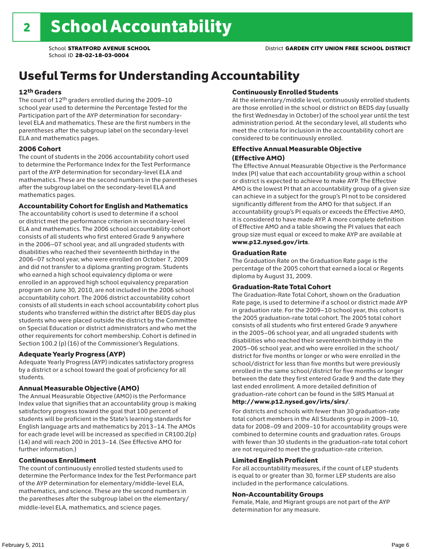### Useful Terms for Understanding Accountability

#### 12th Graders

The count of 12th graders enrolled during the 2009–10 school year used to determine the Percentage Tested for the Participation part of the AYP determination for secondarylevel ELA and mathematics. These are the first numbers in the parentheses after the subgroup label on the secondary-level ELA and mathematics pages.

#### 2006 Cohort

The count of students in the 2006 accountability cohort used to determine the Performance Index for the Test Performance part of the AYP determination for secondary-level ELA and mathematics. These are the second numbers in the parentheses after the subgroup label on the secondary-level ELA and mathematics pages.

#### Accountability Cohort for English and Mathematics

The accountability cohort is used to determine if a school or district met the performance criterion in secondary-level ELA and mathematics. The 2006 school accountability cohort consists of all students who first entered Grade 9 anywhere in the 2006–07 school year, and all ungraded students with disabilities who reached their seventeenth birthday in the 2006–07 school year, who were enrolled on October 7, 2009 and did not transfer to a diploma granting program. Students who earned a high school equivalency diploma or were enrolled in an approved high school equivalency preparation program on June 30, 2010, are not included in the 2006 school accountability cohort. The 2006 district accountability cohort consists of all students in each school accountability cohort plus students who transferred within the district after BEDS day plus students who were placed outside the district by the Committee on Special Education or district administrators and who met the other requirements for cohort membership. Cohort is defined in Section 100.2 (p) (16) of the Commissioner's Regulations.

#### Adequate Yearly Progress (AYP)

Adequate Yearly Progress (AYP) indicates satisfactory progress by a district or a school toward the goal of proficiency for all students.

#### Annual Measurable Objective (AMO)

The Annual Measurable Objective (AMO) is the Performance Index value that signifies that an accountability group is making satisfactory progress toward the goal that 100 percent of students will be proficient in the State's learning standards for English language arts and mathematics by 2013–14. The AMOs for each grade level will be increased as specified in CR100.2(p) (14) and will reach 200 in 2013–14. (See Effective AMO for further information.)

#### Continuous Enrollment

The count of continuously enrolled tested students used to determine the Performance Index for the Test Performance part of the AYP determination for elementary/middle-level ELA, mathematics, and science. These are the second numbers in the parentheses after the subgroup label on the elementary/ middle-level ELA, mathematics, and science pages.

#### Continuously Enrolled Students

At the elementary/middle level, continuously enrolled students are those enrolled in the school or district on BEDS day (usually the first Wednesday in October) of the school year until the test administration period. At the secondary level, all students who meet the criteria for inclusion in the accountability cohort are considered to be continuously enrolled.

#### Effective Annual Measurable Objective (Effective AMO)

The Effective Annual Measurable Objective is the Performance Index (PI) value that each accountability group within a school or district is expected to achieve to make AYP. The Effective AMO is the lowest PI that an accountability group of a given size can achieve in a subject for the group's PI not to be considered significantly different from the AMO for that subject. If an accountability group's PI equals or exceeds the Effective AMO, it is considered to have made AYP. A more complete definition of Effective AMO and a table showing the PI values that each group size must equal or exceed to make AYP are available at www.p12.nysed.gov/irts.

#### Graduation Rate

The Graduation Rate on the Graduation Rate page is the percentage of the 2005 cohort that earned a local or Regents diploma by August 31, 2009.

#### Graduation-Rate Total Cohort

The Graduation-Rate Total Cohort, shown on the Graduation Rate page, is used to determine if a school or district made AYP in graduation rate. For the 2009–10 school year, this cohort is the 2005 graduation-rate total cohort. The 2005 total cohort consists of all students who first entered Grade 9 anywhere in the 2005–06 school year, and all ungraded students with disabilities who reached their seventeenth birthday in the 2005–06 school year, and who were enrolled in the school/ district for five months or longer or who were enrolled in the school/district for less than five months but were previously enrolled in the same school/district for five months or longer between the date they first entered Grade 9 and the date they last ended enrollment. A more detailed definition of graduation-rate cohort can be found in the SIRS Manual at

#### http://www.p12.nysed.gov/irts/sirs/.

For districts and schools with fewer than 30 graduation-rate total cohort members in the All Students group in 2009–10, data for 2008–09 and 2009–10 for accountability groups were combined to determine counts and graduation rates. Groups with fewer than 30 students in the graduation-rate total cohort are not required to meet the graduation-rate criterion.

#### Limited English Proficient

For all accountability measures, if the count of LEP students is equal to or greater than 30, former LEP students are also included in the performance calculations.

#### Non-Accountability Groups

Female, Male, and Migrant groups are not part of the AYP determination for any measure.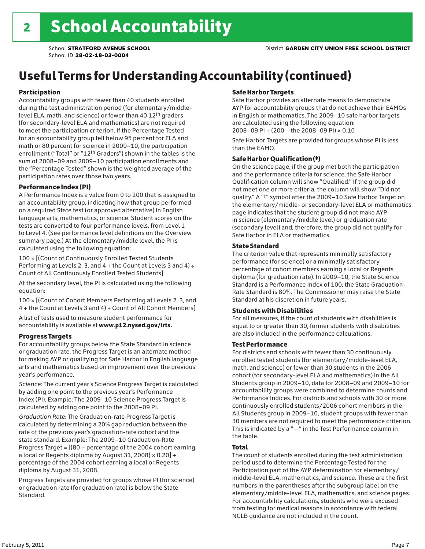## Useful Terms for Understanding Accountability (continued)

#### Participation

Accountability groups with fewer than 40 students enrolled during the test administration period (for elementary/middlelevel ELA, math, and science) or fewer than 40 12th graders (for secondary-level ELA and mathematics) are not required to meet the participation criterion. If the Percentage Tested for an accountability group fell below 95 percent for ELA and math or 80 percent for science in 2009–10, the participation enrollment ("Total" or "12th Graders") shown in the tables is the sum of 2008–09 and 2009–10 participation enrollments and the "Percentage Tested" shown is the weighted average of the participation rates over those two years.

#### Performance Index (PI)

A Performance Index is a value from 0 to 200 that is assigned to an accountability group, indicating how that group performed on a required State test (or approved alternative) in English language arts, mathematics, or science. Student scores on the tests are converted to four performance levels, from Level 1 to Level 4. (See performance level definitions on the Overview summary page.) At the elementary/middle level, the PI is calculated using the following equation:

100 × [(Count of Continuously Enrolled Tested Students Performing at Levels 2, 3, and  $4 +$  the Count at Levels 3 and  $4) \div$ Count of All Continuously Enrolled Tested Students]

At the secondary level, the PI is calculated using the following equation:

100 × [(Count of Cohort Members Performing at Levels 2, 3, and 4 + the Count at Levels 3 and 4) ÷ Count of All Cohort Members]

A list of tests used to measure student performance for accountability is available at www.p12.nysed.gov/irts.

#### Progress Targets

For accountability groups below the State Standard in science or graduation rate, the Progress Target is an alternate method for making AYP or qualifying for Safe Harbor in English language arts and mathematics based on improvement over the previous year's performance.

*Science:* The current year's Science Progress Target is calculated by adding one point to the previous year's Performance Index (PI). Example: The 2009–10 Science Progress Target is calculated by adding one point to the 2008–09 PI.

*Graduation Rate*: The Graduation-rate Progress Target is calculated by determining a 20% gap reduction between the rate of the previous year's graduation-rate cohort and the state standard. Example: The 2009–10 Graduation-Rate Progress Target = [(80 – percentage of the 2004 cohort earning a local or Regents diploma by August 31, 2008)  $\times$  0.20] + percentage of the 2004 cohort earning a local or Regents diploma by August 31, 2008.

Progress Targets are provided for groups whose PI (for science) or graduation rate (for graduation rate) is below the State Standard.

#### Safe Harbor Targets

Safe Harbor provides an alternate means to demonstrate AYP for accountability groups that do not achieve their EAMOs in English or mathematics. The 2009–10 safe harbor targets are calculated using the following equation: 2008–09 PI + (200 – the 2008–09 PI) × 0.10

Safe Harbor Targets are provided for groups whose PI is less than the EAMO.

#### Safe Harbor Qualification (‡)

On the science page, if the group met both the participation and the performance criteria for science, the Safe Harbor Qualification column will show "Qualified." If the group did not meet one or more criteria, the column will show "Did not qualify." A "‡" symbol after the 2009–10 Safe Harbor Target on the elementary/middle- or secondary-level ELA or mathematics page indicates that the student group did not make AYP in science (elementary/middle level) or graduation rate (secondary level) and; therefore, the group did not qualify for Safe Harbor in ELA or mathematics.

#### State Standard

The criterion value that represents minimally satisfactory performance (for science) or a minimally satisfactory percentage of cohort members earning a local or Regents diploma (for graduation rate). In 2009–10, the State Science Standard is a Performance Index of 100; the State Graduation-Rate Standard is 80%. The Commissioner may raise the State Standard at his discretion in future years.

#### Students with Disabilities

For all measures, if the count of students with disabilities is equal to or greater than 30, former students with disabilities are also included in the performance calculations.

#### Test Performance

For districts and schools with fewer than 30 continuously enrolled tested students (for elementary/middle-level ELA, math, and science) or fewer than 30 students in the 2006 cohort (for secondary-level ELA and mathematics) in the All Students group in 2009–10, data for 2008–09 and 2009–10 for accountability groups were combined to determine counts and Performance Indices. For districts and schools with 30 or more continuously enrolled students/2006 cohort members in the All Students group in 2009–10, student groups with fewer than 30 members are not required to meet the performance criterion. This is indicated by a "—" in the Test Performance column in the table.

#### Total

The count of students enrolled during the test administration period used to determine the Percentage Tested for the Participation part of the AYP determination for elementary/ middle-level ELA, mathematics, and science. These are the first numbers in the parentheses after the subgroup label on the elementary/middle-level ELA, mathematics, and science pages. For accountability calculations, students who were excused from testing for medical reasons in accordance with federal NCLB guidance are not included in the count.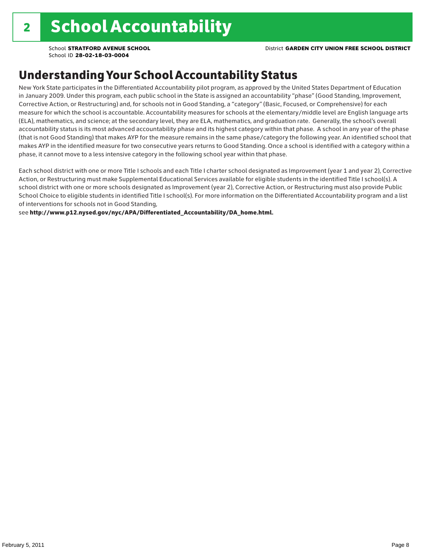School **STRATFORD AVENUE SCHOOL** District **GARDEN CITY UNION FREE SCHOOL DISTRICT**

School ID **28-02-18-03-0004**

### Understanding Your School Accountability Status

New York State participates in the Differentiated Accountability pilot program, as approved by the United States Department of Education in January 2009. Under this program, each public school in the State is assigned an accountability "phase" (Good Standing, Improvement, Corrective Action, or Restructuring) and, for schools not in Good Standing, a "category" (Basic, Focused, or Comprehensive) for each measure for which the school is accountable. Accountability measures for schools at the elementary/middle level are English language arts (ELA), mathematics, and science; at the secondary level, they are ELA, mathematics, and graduation rate. Generally, the school's overall accountability status is its most advanced accountability phase and its highest category within that phase. A school in any year of the phase (that is not Good Standing) that makes AYP for the measure remains in the same phase/category the following year. An identified school that makes AYP in the identified measure for two consecutive years returns to Good Standing. Once a school is identified with a category within a phase, it cannot move to a less intensive category in the following school year within that phase.

Each school district with one or more Title I schools and each Title I charter school designated as Improvement (year 1 and year 2), Corrective Action, or Restructuring must make Supplemental Educational Services available for eligible students in the identified Title I school(s). A school district with one or more schools designated as Improvement (year 2), Corrective Action, or Restructuring must also provide Public School Choice to eligible students in identified Title I school(s). For more information on the Differentiated Accountability program and a list of interventions for schools not in Good Standing,

see http://www.p12.nysed.gov/nyc/APA/Differentiated\_Accountability/DA\_home.html.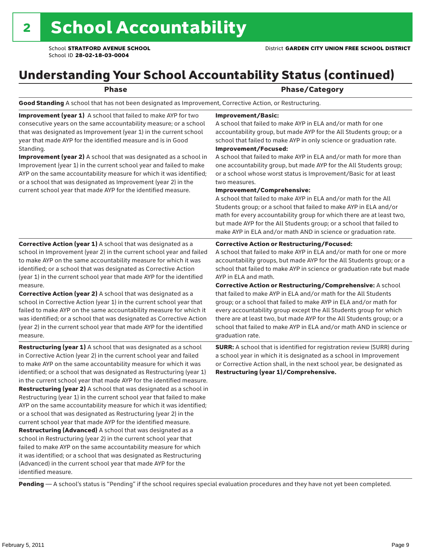### Understanding Your School Accountability Status (continued)

### Phase/Category

Good Standing A school that has not been designated as Improvement, Corrective Action, or Restructuring.

Improvement (year 1) A school that failed to make AYP for two consecutive years on the same accountability measure; or a school that was designated as Improvement (year 1) in the current school year that made AYP for the identified measure and is in Good Standing.

Improvement (year 2) A school that was designated as a school in Improvement (year 1) in the current school year and failed to make AYP on the same accountability measure for which it was identified; or a school that was designated as Improvement (year 2) in the current school year that made AYP for the identified measure.

#### Improvement/Basic:

A school that failed to make AYP in ELA and/or math for one accountability group, but made AYP for the All Students group; or a school that failed to make AYP in only science or graduation rate. Improvement/Focused:

A school that failed to make AYP in ELA and/or math for more than one accountability group, but made AYP for the All Students group; or a school whose worst status is Improvement/Basic for at least two measures.

#### Improvement/Comprehensive:

A school that failed to make AYP in ELA and/or math for the All Students group; or a school that failed to make AYP in ELA and/or math for every accountability group for which there are at least two, but made AYP for the All Students group; or a school that failed to make AYP in ELA and/or math AND in science or graduation rate.

#### Corrective Action or Restructuring/Focused:

A school that failed to make AYP in ELA and/or math for one or more accountability groups, but made AYP for the All Students group; or a school that failed to make AYP in science or graduation rate but made AYP in ELA and math.

measure. Corrective Action (year 2) A school that was designated as a school in Corrective Action (year 1) in the current school year that failed to make AYP on the same accountability measure for which it was identified; or a school that was designated as Corrective Action (year 2) in the current school year that made AYP for the identified

Corrective Action (year 1) A school that was designated as a school in Improvement (year 2) in the current school year and failed to make AYP on the same accountability measure for which it was identified; or a school that was designated as Corrective Action (year 1) in the current school year that made AYP for the identified

measure. Restructuring (year 1) A school that was designated as a school in Corrective Action (year 2) in the current school year and failed to make AYP on the same accountability measure for which it was identified; or a school that was designated as Restructuring (year 1)

in the current school year that made AYP for the identified measure. Restructuring (year 2) A school that was designated as a school in Restructuring (year 1) in the current school year that failed to make AYP on the same accountability measure for which it was identified; or a school that was designated as Restructuring (year 2) in the current school year that made AYP for the identified measure. Restructuring (Advanced) A school that was designated as a school in Restructuring (year 2) in the current school year that failed to make AYP on the same accountability measure for which it was identified; or a school that was designated as Restructuring (Advanced) in the current school year that made AYP for the identified measure.

Corrective Action or Restructuring/Comprehensive: A school that failed to make AYP in ELA and/or math for the All Students group; or a school that failed to make AYP in ELA and/or math for every accountability group except the All Students group for which there are at least two, but made AYP for the All Students group; or a school that failed to make AYP in ELA and/or math AND in science or graduation rate.

SURR: A school that is identified for registration review (SURR) during a school year in which it is designated as a school in Improvement or Corrective Action shall, in the next school year, be designated as Restructuring (year 1)/Comprehensive.

Pending - A school's status is "Pending" if the school requires special evaluation procedures and they have not yet been completed.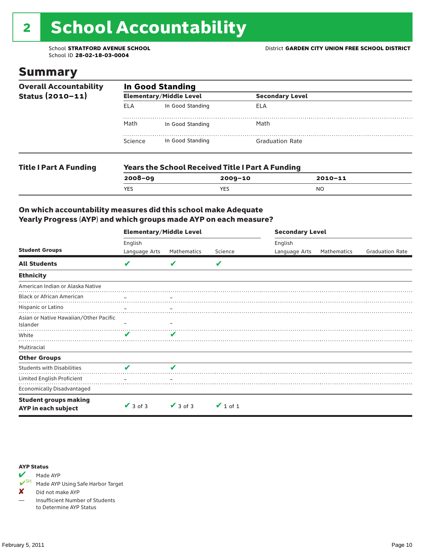# 2 School Accountability

### Summary

| <b>Overall Accountability</b><br>Status $(2010 - 11)$ | <b>In Good Standing</b> |                                                         |                        |  |  |
|-------------------------------------------------------|-------------------------|---------------------------------------------------------|------------------------|--|--|
|                                                       |                         | <b>Elementary/Middle Level</b>                          | <b>Secondary Level</b> |  |  |
|                                                       | ELA                     | In Good Standing                                        | ELA                    |  |  |
|                                                       | Math                    | In Good Standing                                        | Math                   |  |  |
|                                                       | Science                 | In Good Standing                                        | <b>Graduation Rate</b> |  |  |
| <b>Title I Part A Funding</b>                         |                         | <b>Years the School Received Title I Part A Funding</b> |                        |  |  |

| $2008 - 09$ | 2009-10 | $2010 - 11$ |
|-------------|---------|-------------|
| <b>YES</b>  | YES     | NO          |
|             |         |             |

#### On which accountability measures did this school make Adequate Yearly Progress (AYP) and which groups made AYP on each measure?

|                                                     | <b>Elementary/Middle Level</b> |                          |               | <b>Secondary Level</b> |                    |                        |
|-----------------------------------------------------|--------------------------------|--------------------------|---------------|------------------------|--------------------|------------------------|
|                                                     | English                        |                          |               | English                |                    |                        |
| <b>Student Groups</b>                               | Language Arts                  | Mathematics              | Science       | Language Arts          | <b>Mathematics</b> | <b>Graduation Rate</b> |
| <b>All Students</b>                                 | V                              | v                        | V             |                        |                    |                        |
| <b>Ethnicity</b>                                    |                                |                          |               |                        |                    |                        |
| American Indian or Alaska Native                    |                                |                          |               |                        |                    |                        |
| <b>Black or African American</b>                    |                                | $\overline{\phantom{m}}$ |               |                        |                    |                        |
| Hispanic or Latino                                  |                                |                          |               |                        |                    |                        |
| Asian or Native Hawaiian/Other Pacific<br>Islander  |                                |                          |               |                        |                    |                        |
| White                                               | v                              |                          |               |                        |                    |                        |
| Multiracial                                         |                                |                          |               |                        |                    |                        |
| <b>Other Groups</b>                                 |                                |                          |               |                        |                    |                        |
| <b>Students with Disabilities</b>                   | V                              | V                        |               |                        |                    |                        |
| Limited English Proficient                          |                                |                          |               |                        |                    |                        |
| <b>Economically Disadvantaged</b>                   |                                |                          |               |                        |                    |                        |
| <b>Student groups making</b><br>AYP in each subject | $\vee$ 3 of 3                  | $\vee$ 3 of 3            | $\vee$ 1 of 1 |                        |                    |                        |



Made AYP Using Safe Harbor Target

✘ Did not make AYP

— Insufficient Number of Students to Determine AYP Status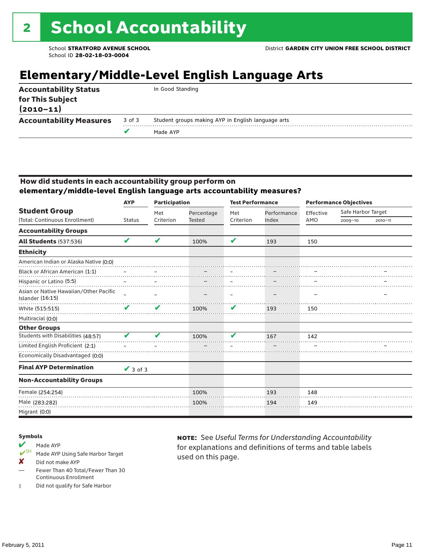### **Elementary/Middle-Level English Language Arts**

|                                   |        | Made AYP                                           |
|-----------------------------------|--------|----------------------------------------------------|
| <b>Accountability Measures</b>    | 3 of 3 | Student groups making AYP in English language arts |
| for This Subject<br>$(2010 - 11)$ |        |                                                    |
| <b>Accountability Status</b>      |        | In Good Standing                                   |

#### How did students in each accountability group perform on **elementary/middle-level English language arts accountability measures?**

|                                                            | <b>AYP</b>      | <b>Participation</b> |               | <b>Test Performance</b>    |             | <b>Performance Objectives</b> |                    |             |
|------------------------------------------------------------|-----------------|----------------------|---------------|----------------------------|-------------|-------------------------------|--------------------|-------------|
| <b>Student Group</b>                                       |                 | Met                  | Percentage    | Met                        | Performance | Effective                     | Safe Harbor Target |             |
| (Total: Continuous Enrollment)                             | <b>Status</b>   | Criterion            | <b>Tested</b> | Criterion                  | Index       | AMO                           | $2009 - 10$        | $2010 - 11$ |
| <b>Accountability Groups</b>                               |                 |                      |               |                            |             |                               |                    |             |
| <b>All Students (537:536)</b>                              | V               | V                    | 100%          | $\boldsymbol{\mathcal{L}}$ | 193         | 150                           |                    |             |
| <b>Ethnicity</b>                                           |                 |                      |               |                            |             |                               |                    |             |
| American Indian or Alaska Native (0:0)                     |                 |                      |               |                            |             |                               |                    |             |
| Black or African American (1:1)                            |                 |                      |               |                            |             |                               |                    |             |
| Hispanic or Latino (5:5)                                   |                 |                      |               |                            |             |                               |                    |             |
| Asian or Native Hawaiian/Other Pacific<br>Islander (16:15) |                 |                      |               |                            |             |                               |                    |             |
| White (515:515)                                            | V               | V                    | 100%          | V                          | 193         | 150                           |                    |             |
| Multiracial (0:0)                                          |                 |                      |               |                            |             |                               |                    |             |
| <b>Other Groups</b>                                        |                 |                      |               |                            |             |                               |                    |             |
| Students with Disabilities (48:57)                         |                 |                      | 100%          | u                          | 167         | 142                           |                    |             |
| Limited English Proficient (2:1)                           |                 |                      |               |                            |             |                               |                    |             |
| Economically Disadvantaged (0:0)                           |                 |                      |               |                            |             |                               |                    |             |
| <b>Final AYP Determination</b>                             | $\sqrt{3}$ of 3 |                      |               |                            |             |                               |                    |             |
| <b>Non-Accountability Groups</b>                           |                 |                      |               |                            |             |                               |                    |             |
| Female (254:254)                                           |                 |                      | 100%          |                            | 193         | 148                           |                    |             |
| Male (283:282)                                             |                 |                      | 100%          |                            | 194         | 149                           |                    |             |
| Migrant (0:0)                                              |                 |                      |               |                            |             |                               |                    |             |

#### Symbols

- Made AYP<br> **V**SH Made AVP Made AYP Using Safe Harbor Target
- X Did not make AYP
- Fewer Than 40 Total/Fewer Than 30 Continuous Enrollment
- ‡ Did not qualify for Safe Harbor

note: See *Useful Terms for Understanding Accountability*  for explanations and definitions of terms and table labels used on this page.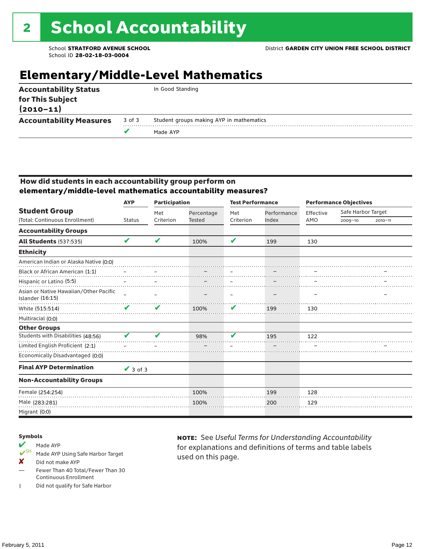### **Elementary/Middle-Level Mathematics**

| <b>Accountability Status</b><br>for This Subject<br>$(2010 - 11)$ |        | In Good Standing                         |
|-------------------------------------------------------------------|--------|------------------------------------------|
| <b>Accountability Measures</b>                                    | 3 of 3 | Student groups making AYP in mathematics |
|                                                                   |        | Made AYP                                 |
|                                                                   |        |                                          |

#### How did students in each accountability group perform on **elementary/middle-level mathematics accountability measures?**

|                                                            | <b>AYP</b>    | <b>Participation</b> |            | <b>Test Performance</b> |             | <b>Performance Objectives</b> |                    |             |
|------------------------------------------------------------|---------------|----------------------|------------|-------------------------|-------------|-------------------------------|--------------------|-------------|
| <b>Student Group</b>                                       |               | Met                  | Percentage | Met                     | Performance | Effective                     | Safe Harbor Target |             |
| (Total: Continuous Enrollment)                             | <b>Status</b> | Criterion            | Tested     | Criterion               | Index       | AMO                           | 2009-10            | $2010 - 11$ |
| <b>Accountability Groups</b>                               |               |                      |            |                         |             |                               |                    |             |
| <b>All Students (537:535)</b>                              | V             | V                    | 100%       | $\mathbf{v}$            | 199         | 130                           |                    |             |
| <b>Ethnicity</b>                                           |               |                      |            |                         |             |                               |                    |             |
| American Indian or Alaska Native (0:0)                     |               |                      |            |                         |             |                               |                    |             |
| Black or African American (1:1)                            |               |                      |            |                         |             |                               |                    |             |
| Hispanic or Latino (5:5)                                   |               |                      |            |                         |             |                               |                    |             |
| Asian or Native Hawaiian/Other Pacific<br>Islander (16:15) |               |                      |            |                         |             |                               |                    |             |
| White (515:514)                                            | V             | V                    | 100%       | V                       | 199         | 130                           |                    |             |
| Multiracial (0:0)                                          |               |                      |            |                         |             |                               |                    |             |
| <b>Other Groups</b>                                        |               |                      |            |                         |             |                               |                    |             |
| Students with Disabilities (48:56)                         |               |                      | 98%        | u                       | 195         | 122                           |                    |             |
| Limited English Proficient (2:1)                           |               |                      |            |                         |             |                               |                    |             |
| Economically Disadvantaged (0:0)                           |               |                      |            |                         |             |                               |                    |             |
| <b>Final AYP Determination</b>                             | $\vee$ 3 of 3 |                      |            |                         |             |                               |                    |             |
| <b>Non-Accountability Groups</b>                           |               |                      |            |                         |             |                               |                    |             |
| Female (254:254)                                           |               |                      | 100%       |                         | 199         | 128                           |                    |             |
| Male (283:281)                                             |               |                      | 100%       |                         | 200         | 129                           |                    |             |
| Migrant (0:0)                                              |               |                      |            |                         |             |                               |                    |             |

#### Symbols

### Made AYP<br> **V**SH Made AVP

- Made AYP Using Safe Harbor Target
- X Did not make AYP
- Fewer Than 40 Total/Fewer Than 30 Continuous Enrollment
- ‡ Did not qualify for Safe Harbor

note: See *Useful Terms for Understanding Accountability*  for explanations and definitions of terms and table labels used on this page.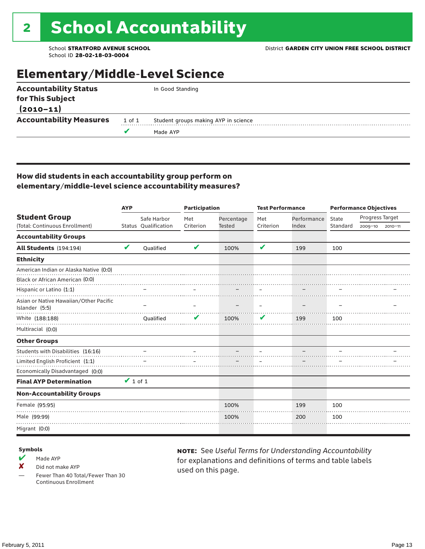### Elementary/Middle-Level Science

| <b>Accountability Status</b>   |        | In Good Standing                     |
|--------------------------------|--------|--------------------------------------|
| for This Subject               |        |                                      |
| $(2010 - 11)$                  |        |                                      |
| <b>Accountability Measures</b> | 1 of 1 | Student groups making AYP in science |
|                                |        | Made AYP                             |

#### How did students in each accountability group perform on elementary/middle-level science accountability measures?

|                                                          | <b>AYP</b>    |                      | <b>Participation</b> |               | <b>Test Performance</b> |             | <b>Performance Objectives</b> |                 |             |
|----------------------------------------------------------|---------------|----------------------|----------------------|---------------|-------------------------|-------------|-------------------------------|-----------------|-------------|
| <b>Student Group</b>                                     |               | Safe Harbor          | Met                  | Percentage    | Met                     | Performance | State                         | Progress Target |             |
| (Total: Continuous Enrollment)                           |               | Status Qualification | Criterion            | <b>Tested</b> | Criterion               | Index       | Standard                      | 2009-10         | $2010 - 11$ |
| <b>Accountability Groups</b>                             |               |                      |                      |               |                         |             |                               |                 |             |
| All Students (194:194)                                   | V             | Qualified            | V                    | 100%          | V                       | 199         | 100                           |                 |             |
| <b>Ethnicity</b>                                         |               |                      |                      |               |                         |             |                               |                 |             |
| American Indian or Alaska Native (0:0)                   |               |                      |                      |               |                         |             |                               |                 |             |
| Black or African American (0:0)                          |               |                      |                      |               |                         |             |                               |                 |             |
| Hispanic or Latino (1:1)                                 |               |                      |                      |               |                         |             |                               |                 |             |
| Asian or Native Hawaiian/Other Pacific<br>Islander (5:5) |               |                      |                      |               |                         |             |                               |                 |             |
| White (188:188)                                          |               | Qualified            |                      | 100%          | V                       | 199         | 100                           |                 |             |
| Multiracial (0:0)                                        |               |                      |                      |               |                         |             |                               |                 |             |
| <b>Other Groups</b>                                      |               |                      |                      |               |                         |             |                               |                 |             |
| Students with Disabilities (16:16)                       |               |                      |                      |               |                         |             |                               |                 |             |
| Limited English Proficient (1:1)                         |               |                      |                      |               |                         |             |                               |                 |             |
| Economically Disadvantaged (0:0)                         |               |                      |                      |               |                         |             |                               |                 |             |
| <b>Final AYP Determination</b>                           | $\vee$ 1 of 1 |                      |                      |               |                         |             |                               |                 |             |
| <b>Non-Accountability Groups</b>                         |               |                      |                      |               |                         |             |                               |                 |             |
| Female (95:95)                                           |               |                      |                      | 100%          |                         | 199         | 100                           |                 |             |
| Male (99:99)                                             |               |                      |                      | 100%          |                         | 200         | 100                           |                 |             |
| Migrant (0:0)                                            |               |                      |                      |               |                         |             |                               |                 |             |

#### Symbols

- $M$  Made AYP
- X Did not make AYP

Fewer Than 40 Total/Fewer Than 30 Continuous Enrollment

note: See *Useful Terms for Understanding Accountability*  for explanations and definitions of terms and table labels used on this page.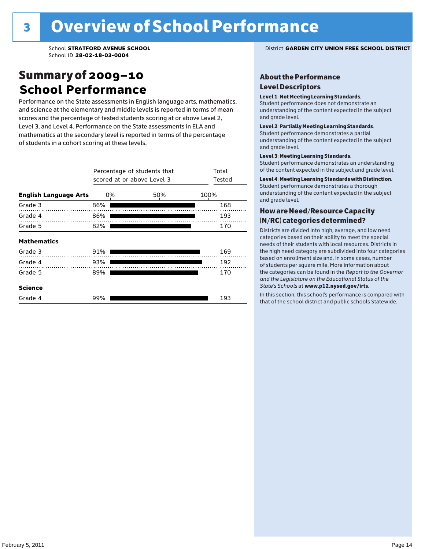### Summary of 2009–10 **School Performance**

Performance on the State assessments in English language arts, mathematics, and science at the elementary and middle levels is reported in terms of mean scores and the percentage of tested students scoring at or above Level 2, Level 3, and Level 4. Performance on the State assessments in ELA and mathematics at the secondary level is reported in terms of the percentage of students in a cohort scoring at these levels.

|                              | Percentage of students that<br>scored at or above Level 3 | Total<br>Tested |      |
|------------------------------|-----------------------------------------------------------|-----------------|------|
| <b>English Language Arts</b> | 0%                                                        | 50%             | 100% |
| Grade 3                      | 86%                                                       |                 | 168  |
| Grade 4                      | 86%                                                       |                 | 193  |
| Grade 5                      | 82%                                                       |                 | 170  |
| <b>Mathematics</b>           |                                                           |                 |      |
| Grade 3                      | 91%                                                       |                 | 169  |
| Grade 4                      | 93%                                                       |                 | 192  |
| Grade 5                      | 89%                                                       |                 | 170  |
| <b>Science</b>               |                                                           |                 |      |
| Grade 4                      | 99%                                                       |                 | 193  |

School **STRATFORD AVENUE SCHOOL** District **GARDEN CITY UNION FREE SCHOOL DISTRICT**

#### About the Performance Level Descriptors

#### Level 1: Not Meeting Learning Standards.

Student performance does not demonstrate an understanding of the content expected in the subject and grade level.

#### Level 2: Partially Meeting Learning Standards.

Student performance demonstrates a partial understanding of the content expected in the subject and grade level.

#### Level 3: Meeting Learning Standards.

Student performance demonstrates an understanding of the content expected in the subject and grade level.

#### Level 4: Meeting Learning Standards with Distinction.

Student performance demonstrates a thorough understanding of the content expected in the subject and grade level.

#### How are Need/Resource Capacity (N/RC) categories determined?

Districts are divided into high, average, and low need categories based on their ability to meet the special needs of their students with local resources. Districts in the high need category are subdivided into four categories based on enrollment size and, in some cases, number of students per square mile. More information about the categories can be found in the *Report to the Governor and the Legislature on the Educational Status of the*  State's Schools at www.p12.nysed.gov/irts.

In this section, this school's performance is compared with<br>that of the school district and multigarhaals Statemide In this section, this school's performance is compared that of the school district and public schools Statewide.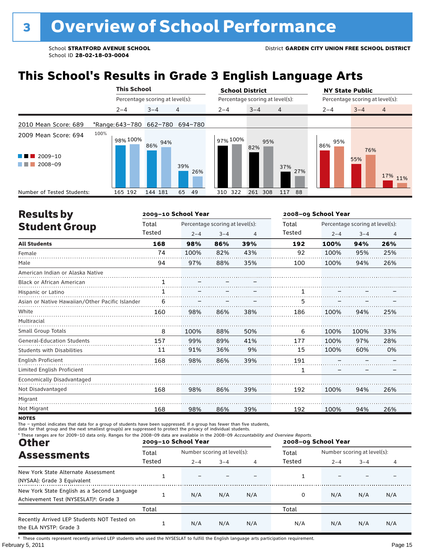## **This School's Results in Grade 3 English Language Arts**

|                                                       | <b>This School</b>              |                                 |                | <b>School District</b> |                                 | <b>NY State Public</b>               |
|-------------------------------------------------------|---------------------------------|---------------------------------|----------------|------------------------|---------------------------------|--------------------------------------|
|                                                       |                                 | Percentage scoring at level(s): |                |                        | Percentage scoring at level(s): | Percentage scoring at level(s):      |
|                                                       | $2 - 4$                         | $3 - 4$                         | $\overline{4}$ | $2 - 4$                | $3 - 4$<br>$\overline{4}$       | $\overline{4}$<br>$3 - 4$<br>$2 - 4$ |
| 2010 Mean Score: 689                                  | *Range: 643-780 662-780 694-780 |                                 |                |                        |                                 |                                      |
| 2009 Mean Score: 694<br>2009-10<br>a sa ba<br>2008-09 | 100%<br>98% 100%                | 94%<br>86%                      | 39%<br>26%     | 97% 100%               | 95%<br>82%<br>37%<br>27%        | 95%<br>86%<br>76%<br>55%<br>17% 11%  |
| Number of Tested Students:                            | 165 192                         | 144 181                         | 65<br>-49      | 310 322                | 261<br>308<br>117<br>88         |                                      |

| <b>Results by</b>                               |        | 2009-10 School Year |                                 |     | 2008-09 School Year |         |                                 |     |
|-------------------------------------------------|--------|---------------------|---------------------------------|-----|---------------------|---------|---------------------------------|-----|
| <b>Student Group</b>                            | Total  |                     | Percentage scoring at level(s): |     | Total               |         | Percentage scoring at level(s): |     |
|                                                 | Tested | $2 - 4$             | $3 - 4$                         | 4   | <b>Tested</b>       | $2 - 4$ | $3 - 4$                         | 4   |
| <b>All Students</b>                             | 168    | 98%                 | 86%                             | 39% | 192                 | 100%    | 94%                             | 26% |
| Female                                          | 74     | 100%                | 82%                             | 43% | 92                  | 100%    | 95%                             | 25% |
| Male                                            | 94     | 97%                 | 88%                             | 35% | 100                 | 100%    | 94%                             | 26% |
| American Indian or Alaska Native                |        |                     |                                 |     |                     |         |                                 |     |
| <b>Black or African American</b>                |        |                     |                                 |     |                     |         |                                 |     |
| Hispanic or Latino                              | 1      |                     |                                 |     |                     |         |                                 |     |
| Asian or Native Hawaiian/Other Pacific Islander | 6      |                     |                                 |     | 5                   |         |                                 |     |
| White                                           | 160    | 98%                 | 86%                             | 38% | 186                 | 100%    | 94%                             | 25% |
| Multiracial                                     |        |                     |                                 |     |                     |         |                                 |     |
| Small Group Totals                              | 8      | 100%                | 88%                             | 50% | 6                   | 100%    | 100%                            | 33% |
| <b>General-Education Students</b>               | 157    | 99%                 | 89%                             | 41% | 177                 | 100%    | 97%                             | 28% |
| <b>Students with Disabilities</b>               | 11     | 91%                 | 36%                             | 9%  | 15                  | 100%    | 60%                             | 0%  |
| English Proficient                              | 168    | 98%                 | 86%                             | 39% | 191                 |         |                                 |     |
| Limited English Proficient                      |        |                     |                                 |     | 1                   |         |                                 |     |
| Economically Disadvantaged                      |        |                     |                                 |     |                     |         |                                 |     |
| Not Disadvantaged                               | 168    | 98%                 | 86%                             | 39% | 192                 | 100%    | 94%                             | 26% |
| Migrant                                         |        |                     |                                 |     |                     |         |                                 |     |
| Not Migrant                                     | 168    | 98%                 | 86%                             | 39% | 192                 | 100%    | 94%                             | 26% |

**NOTES** 

The – symbol indicates that data for a group of students have been suppressed. If a group has fewer than five students,<br>data for that group and the next smallest group(s) are suppressed to protect the privacy of individual

| * These ranges are for 2009-10 data only. Ranges for the 2008-09 data are available in the 2008-09 Accountability and Overview Reports.<br><b>Other</b> |        | 2009-10 School Year |                             |     | 2008-09 School Year |                             |         |     |  |
|---------------------------------------------------------------------------------------------------------------------------------------------------------|--------|---------------------|-----------------------------|-----|---------------------|-----------------------------|---------|-----|--|
| <b>Assessments</b>                                                                                                                                      | Total  |                     | Number scoring at level(s): |     |                     | Number scoring at level(s): |         |     |  |
|                                                                                                                                                         | Tested | $2 - 4$             | $3 - 4$                     | 4   | Tested              | $2 - 4$                     | $3 - 4$ | 4   |  |
| New York State Alternate Assessment<br>(NYSAA): Grade 3 Equivalent                                                                                      |        |                     |                             |     |                     |                             |         |     |  |
| New York State English as a Second Language<br>Achievement Test (NYSESLAT) <sup>+</sup> : Grade 3                                                       |        | N/A                 | N/A                         | N/A | 0                   | N/A                         | N/A     | N/A |  |
|                                                                                                                                                         | Total  |                     |                             |     | Total               |                             |         |     |  |
| Recently Arrived LEP Students NOT Tested on<br>the ELA NYSTP: Grade 3                                                                                   |        | N/A                 | N/A                         | N/A | N/A                 | N/A                         | N/A     | N/A |  |

February 5, 2011 **Page 15** † These counts represent recently arrived LEP students who used the NYSESLAT to fulfill the English language arts participation requirement.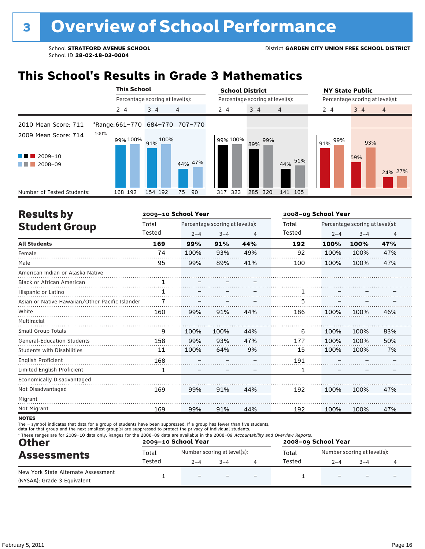### **This School's Results in Grade 3 Mathematics**

|                                                                    |                  | <b>This School</b>              |          | <b>School District</b> |                                 |            | <b>NY State Public</b>          |            |                |
|--------------------------------------------------------------------|------------------|---------------------------------|----------|------------------------|---------------------------------|------------|---------------------------------|------------|----------------|
|                                                                    |                  | Percentage scoring at level(s): |          |                        | Percentage scoring at level(s): |            | Percentage scoring at level(s): |            |                |
|                                                                    | $2 - 4$          | $3 - 4$                         | 4        | $2 - 4$                | $3 - 4$<br>$\overline{4}$       |            | $2 - 4$                         | $3 - 4$    | $\overline{4}$ |
| 2010 Mean Score: 711                                               |                  | *Range: 661-770 684-770         | 707-770  |                        |                                 |            |                                 |            |                |
| 2009 Mean Score: 714<br>$2009 - 10$<br>a ka<br>2008-09<br>a sa Tan | 100%<br>99% 100% | 91% 100%                        | 44% 47%  | 99% 100%               | 99%<br>89%                      | 51%<br>44% | 99%<br>91%                      | 93%<br>59% | 24% 27%        |
| Number of Tested Students:                                         | 168 192          | 154 192                         | 90<br>75 | 323<br>317             | 285<br>320                      | 141 165    |                                 |            |                |

| <b>Results by</b>                               |        | 2009-10 School Year |                                 |     | 2008-09 School Year |         |                                 |     |  |
|-------------------------------------------------|--------|---------------------|---------------------------------|-----|---------------------|---------|---------------------------------|-----|--|
| <b>Student Group</b>                            | Total  |                     | Percentage scoring at level(s): |     |                     |         | Percentage scoring at level(s): |     |  |
|                                                 | Tested | $2 - 4$             | $3 - 4$                         | 4   | Tested              | $2 - 4$ | $3 - 4$                         | 4   |  |
| <b>All Students</b>                             | 169    | 99%                 | 91%                             | 44% | 192                 | 100%    | 100%                            | 47% |  |
| Female                                          | 74     | 100%                | 93%                             | 49% | 92                  | 100%    | 100%                            | 47% |  |
| Male                                            | 95     | 99%                 | 89%                             | 41% | 100                 | 100%    | 100%                            | 47% |  |
| American Indian or Alaska Native                |        |                     |                                 |     |                     |         |                                 |     |  |
| <b>Black or African American</b>                | 1      |                     |                                 |     |                     |         |                                 |     |  |
| Hispanic or Latino                              | 1      |                     |                                 |     |                     |         |                                 |     |  |
| Asian or Native Hawaiian/Other Pacific Islander |        |                     |                                 |     | 5                   |         |                                 |     |  |
| White                                           | 160    | 99%                 | 91%                             | 44% | 186                 | 100%    | 100%                            | 46% |  |
| Multiracial                                     |        |                     |                                 |     |                     |         |                                 |     |  |
| <b>Small Group Totals</b>                       | 9      | 100%                | 100%                            | 44% | 6                   | 100%    | 100%                            | 83% |  |
| <b>General-Education Students</b>               | 158    | 99%                 | 93%                             | 47% | 177                 | 100%    | 100%                            | 50% |  |
| <b>Students with Disabilities</b>               | 11     | 100%                | 64%                             | 9%  | 15                  | 100%    | 100%                            | 7%  |  |
| English Proficient                              | 168    |                     |                                 |     | 191                 |         |                                 |     |  |
| Limited English Proficient                      | 1      |                     |                                 |     | 1                   |         |                                 |     |  |
| Economically Disadvantaged                      |        |                     |                                 |     |                     |         |                                 |     |  |
| Not Disadvantaged                               | 169    | 99%                 | 91%                             | 44% | 192                 | 100%    | 100%                            | 47% |  |
| Migrant                                         |        |                     |                                 |     |                     |         |                                 |     |  |
| Not Migrant                                     | 169    | 99%                 | 91%                             | 44% | 192                 | 100%    | 100%                            | 47% |  |
|                                                 |        |                     |                                 |     |                     |         |                                 |     |  |

**NOTES** 

The – symbol indicates that data for a group of students have been suppressed. If a group has fewer than five students,<br>data for that group and the next smallest group(s) are suppressed to protect the privacy of individual

| <b>Other</b><br><b>Assessments</b>                                 |        | 2009-10 School Year      |                             | 2008-09 School Year      |        |                             |      |  |
|--------------------------------------------------------------------|--------|--------------------------|-----------------------------|--------------------------|--------|-----------------------------|------|--|
|                                                                    | Total  |                          | Number scoring at level(s): |                          |        | Number scoring at level(s): |      |  |
|                                                                    | Tested | $2 - 4$                  | $3 - 4$                     |                          | Tested | $2 - 4$                     | $-4$ |  |
| New York State Alternate Assessment<br>(NYSAA): Grade 3 Equivalent |        | $\overline{\phantom{0}}$ |                             | $\overline{\phantom{0}}$ |        |                             |      |  |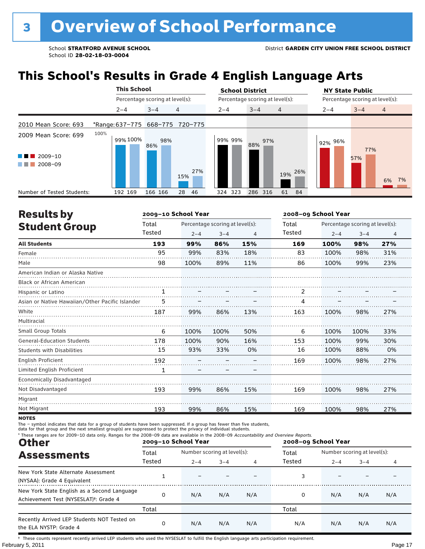## **This School's Results in Grade 4 English Language Arts**

|                                                       | <b>This School</b>              |                                 |            | <b>School District</b> |                                 | <b>NY State Public</b>               |
|-------------------------------------------------------|---------------------------------|---------------------------------|------------|------------------------|---------------------------------|--------------------------------------|
|                                                       |                                 | Percentage scoring at level(s): |            |                        | Percentage scoring at level(s): | Percentage scoring at level(s):      |
|                                                       | $2 - 4$                         | $3 - 4$                         | 4          | $2 - 4$                | $3 - 4$<br>4                    | $\overline{4}$<br>$3 - 4$<br>$2 - 4$ |
| 2010 Mean Score: 693                                  | *Range: 637-775 668-775 720-775 |                                 |            |                        |                                 |                                      |
| 2009 Mean Score: 699<br>2009-10<br>2008-09<br>a sa ta | 100%<br>99% 100%                | 98%<br>86%                      |            | 99% 99%                | 97%<br>88%                      | 92% 96%<br>77%<br>57%                |
|                                                       |                                 |                                 | 27%<br>15% |                        | 26%<br>19%                      | 6%<br>7%                             |
| Number of Tested Students:                            | 192 169                         | 166 166                         | 28<br>46   | 324 323                | 286 316<br>61<br>-84            |                                      |

| <b>Results by</b>                               |        | 2009-10 School Year             |         |     | 2008-09 School Year |                                 |         |                |
|-------------------------------------------------|--------|---------------------------------|---------|-----|---------------------|---------------------------------|---------|----------------|
| <b>Student Group</b>                            | Total  | Percentage scoring at level(s): |         |     | Total               | Percentage scoring at level(s): |         |                |
|                                                 | Tested | $2 - 4$                         | $3 - 4$ | 4   | Tested              | $2 - 4$                         | $3 - 4$ | $\overline{4}$ |
| <b>All Students</b>                             | 193    | 99%                             | 86%     | 15% | 169                 | 100%                            | 98%     | 27%            |
| Female                                          | 95     | 99%                             | 83%     | 18% | 83                  | 100%                            | 98%     | 31%            |
| Male                                            | 98     | 100%                            | 89%     | 11% | 86                  | 100%                            | 99%     | 23%            |
| American Indian or Alaska Native                |        |                                 |         |     |                     |                                 |         |                |
| <b>Black or African American</b>                |        |                                 |         |     |                     |                                 |         |                |
| Hispanic or Latino                              | 1      |                                 |         |     | 2                   |                                 |         |                |
| Asian or Native Hawaiian/Other Pacific Islander |        |                                 |         |     | 4                   |                                 |         |                |
| White                                           | 187    | 99%                             | 86%     | 13% | 163                 | 100%                            | 98%     | 27%            |
| Multiracial                                     |        |                                 |         |     |                     |                                 |         |                |
| Small Group Totals                              | 6      | 100%                            | 100%    | 50% | 6                   | 100%                            | 100%    | 33%            |
| <b>General-Education Students</b>               | 178    | 100%                            | 90%     | 16% | 153                 | 100%                            | 99%     | 30%            |
| <b>Students with Disabilities</b>               | 15     | 93%                             | 33%     | 0%  | 16                  | 100%                            | 88%     | 0%             |
| English Proficient                              | 192    |                                 |         |     | 169                 | 100%                            | 98%     | 27%            |
| Limited English Proficient                      | 1      |                                 |         |     |                     |                                 |         |                |
| Economically Disadvantaged                      |        |                                 |         |     |                     |                                 |         |                |
| Not Disadvantaged                               | 193    | 99%                             | 86%     | 15% | 169                 | 100%                            | 98%     | 27%            |
| Migrant                                         |        |                                 |         |     |                     |                                 |         |                |
| Not Migrant                                     | 193    | 99%                             | 86%     | 15% | 169                 | 100%                            | 98%     | 27%            |

**NOTES** 

The – symbol indicates that data for a group of students have been suppressed. If a group has fewer than five students,<br>data for that group and the next smallest group(s) are suppressed to protect the privacy of individual

| * These ranges are for 2009-10 data only. Ranges for the 2008-09 data are available in the 2008-09 Accountability and Overview Reports.<br><b>Other</b> |        | 2009-10 School Year         |         |     | 2008-09 School Year |                             |         |     |
|---------------------------------------------------------------------------------------------------------------------------------------------------------|--------|-----------------------------|---------|-----|---------------------|-----------------------------|---------|-----|
| <b>Assessments</b>                                                                                                                                      | Total  | Number scoring at level(s): |         |     | Total               | Number scoring at level(s): |         |     |
|                                                                                                                                                         | Tested | $2 - 4$                     | $3 - 4$ | 4   | Tested              | $2 - 4$                     | $3 - 4$ | 4   |
| New York State Alternate Assessment<br>(NYSAA): Grade 4 Equivalent                                                                                      |        |                             |         |     |                     |                             |         |     |
| New York State English as a Second Language<br>Achievement Test (NYSESLAT) <sup>+</sup> : Grade 4                                                       | 0      | N/A                         | N/A     | N/A | 0                   | N/A                         | N/A     | N/A |
|                                                                                                                                                         | Total  |                             |         |     | Total               |                             |         |     |
| Recently Arrived LEP Students NOT Tested on<br>the ELA NYSTP: Grade 4                                                                                   | 0      | N/A                         | N/A     | N/A | N/A                 | N/A                         | N/A     | N/A |

February 5, 2011 **Page 17** † These counts represent recently arrived LEP students who used the NYSESLAT to fulfill the English language arts participation requirement.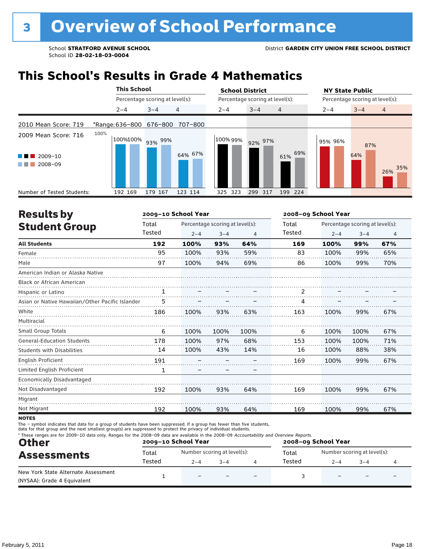### **This School's Results in Grade 4 Mathematics**

|                                                                             | <b>This School</b>       |                                 |         | <b>School District</b> |                                 | <b>NY State Public</b> |                                 |  |  |
|-----------------------------------------------------------------------------|--------------------------|---------------------------------|---------|------------------------|---------------------------------|------------------------|---------------------------------|--|--|
|                                                                             |                          | Percentage scoring at level(s): |         |                        | Percentage scoring at level(s): |                        | Percentage scoring at level(s): |  |  |
|                                                                             | $2 - 4$                  | $3 - 4$                         | 4       | $2 - 4$                | $3 - 4$<br>4                    | $2 - 4$                | $3 - 4$<br>$\overline{4}$       |  |  |
| 2010 Mean Score: 719                                                        | *Range: 636-800 676-800  |                                 | 707-800 |                        |                                 |                        |                                 |  |  |
| 2009 Mean Score: 716<br>2009-10<br><b>CONTRACTOR</b><br>2008-09<br>a sa Tan | 100%<br>100%100% 93% 99% |                                 | 64% 67% | 100% 99%               | 92% 97%<br>69%<br>61%           | 95% 96%                | 87%<br>64%<br>35%<br>26%        |  |  |
| Number of Tested Students:                                                  | 192 169                  | 179 167                         | 123 114 | 325 323                | 299 317<br>199 224              |                        |                                 |  |  |

| <b>Results by</b>                               |        | 2009-10 School Year |                                 |      | 2008-09 School Year |                                 |         |                |  |
|-------------------------------------------------|--------|---------------------|---------------------------------|------|---------------------|---------------------------------|---------|----------------|--|
| <b>Student Group</b>                            | Total  |                     | Percentage scoring at level(s): |      | Total               | Percentage scoring at level(s): |         |                |  |
|                                                 | Tested | $2 - 4$             | $3 - 4$                         | 4    | <b>Tested</b>       | $2 - 4$                         | $3 - 4$ | $\overline{4}$ |  |
| <b>All Students</b>                             | 192    | 100%                | 93%                             | 64%  | 169                 | 100%                            | 99%     | 67%            |  |
| Female                                          | 95     | 100%                | 93%                             | 59%  | 83                  | 100%                            | 99%     | 65%            |  |
| Male                                            | 97     | 100%                | 94%                             | 69%  | 86                  | 100%                            | 99%     | 70%            |  |
| American Indian or Alaska Native                |        |                     |                                 |      |                     |                                 |         |                |  |
| <b>Black or African American</b>                |        |                     |                                 |      |                     |                                 |         |                |  |
| Hispanic or Latino                              |        |                     |                                 |      | 2                   |                                 |         |                |  |
| Asian or Native Hawaiian/Other Pacific Islander | 5      |                     |                                 |      |                     |                                 |         |                |  |
| White                                           | 186    | 100%                | 93%                             | 63%  | 163                 | 100%                            | 99%     | 67%            |  |
| Multiracial                                     |        |                     |                                 |      |                     |                                 |         |                |  |
| <b>Small Group Totals</b>                       | 6      | 100%                | 100%                            | 100% | 6                   | 100%                            | 100%    | 67%            |  |
| <b>General-Education Students</b>               | 178    | 100%                | 97%                             | 68%  | 153                 | 100%                            | 100%    | 71%            |  |
| <b>Students with Disabilities</b>               | 14     | 100%                | 43%                             | 14%  | 16                  | 100%                            | 88%     | 38%            |  |
| English Proficient                              | 191    |                     |                                 |      | 169                 | 100%                            | 99%     | 67%            |  |
| Limited English Proficient                      | 1      |                     |                                 |      |                     |                                 |         |                |  |
| <b>Economically Disadvantaged</b>               |        |                     |                                 |      |                     |                                 |         |                |  |
| Not Disadvantaged                               | 192    | 100%                | 93%                             | 64%  | 169                 | 100%                            | 99%     | 67%            |  |
| Migrant                                         |        |                     |                                 |      |                     |                                 |         |                |  |
| Not Migrant                                     | 192    | 100%                | 93%                             | 64%  | 169                 | 100%                            | 99%     | 67%            |  |
|                                                 |        |                     |                                 |      |                     |                                 |         |                |  |

**NOTES** 

The – symbol indicates that data for a group of students have been suppressed. If a group has fewer than five students,<br>data for that group and the next smallest group(s) are suppressed to protect the privacy of individual

| * These ranges are for 2009-10 data only. Ranges for the 2008-09 data are available in the 2008-09 Accountability and Overview Reports.<br><b>Other</b><br><b>Assessments</b> |        | 2009-10 School Year         |         | 2008-09 School Year |        |                             |      |  |
|-------------------------------------------------------------------------------------------------------------------------------------------------------------------------------|--------|-----------------------------|---------|---------------------|--------|-----------------------------|------|--|
|                                                                                                                                                                               | Total  | Number scoring at level(s): |         |                     | Total  | Number scoring at level(s): |      |  |
|                                                                                                                                                                               | Tested | $2 - 4$                     | $3 - 4$ |                     | Tested | $2 - 4$                     | $-4$ |  |
| New York State Alternate Assessment<br>(NYSAA): Grade 4 Equivalent                                                                                                            |        | $\overline{\phantom{0}}$    |         |                     |        |                             |      |  |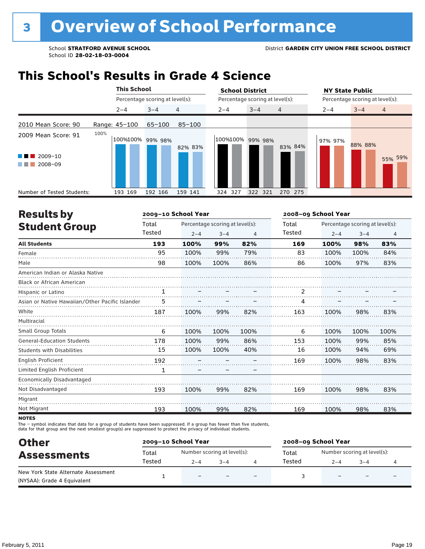### **This School's Results in Grade 4 Science**

|                                                           |      | <b>This School</b> |                                 |         | <b>School District</b>          |         |                | <b>NY State Public</b>          |         |                |
|-----------------------------------------------------------|------|--------------------|---------------------------------|---------|---------------------------------|---------|----------------|---------------------------------|---------|----------------|
|                                                           |      |                    | Percentage scoring at level(s): |         | Percentage scoring at level(s): |         |                | Percentage scoring at level(s): |         |                |
|                                                           |      | $2 - 4$            | $3 - 4$                         | 4       | $2 - 4$                         | $3 - 4$ | $\overline{4}$ | $2 - 4$                         | $3 - 4$ | $\overline{4}$ |
| 2010 Mean Score: 90                                       |      | Range: 45-100      | $65 - 100$                      | 85-100  |                                 |         |                |                                 |         |                |
| 2009 Mean Score: 91<br>$2009 - 10$<br>a sa Tan<br>2008-09 | 100% |                    | 100%100% 99% 98%                | 82% 83% | 100%100% 99% 98%                |         | 83% 84%        | 97% 97%                         | 88% 88% | 55% 59%        |
| Number of Tested Students:                                |      | 193 169            | 192 166                         | 159 141 | 324 327                         | 322 321 | 270 275        |                                 |         |                |

| <b>Results by</b>                               |        | 2009-10 School Year |                                 |      | 2008-09 School Year |         |                                 |                |  |
|-------------------------------------------------|--------|---------------------|---------------------------------|------|---------------------|---------|---------------------------------|----------------|--|
| <b>Student Group</b>                            | Total  |                     | Percentage scoring at level(s): |      |                     |         | Percentage scoring at level(s): |                |  |
|                                                 | Tested | $2 - 4$             | $3 - 4$                         | 4    | Tested              | $2 - 4$ | $3 - 4$                         | $\overline{4}$ |  |
| <b>All Students</b>                             | 193    | 100%                | 99%                             | 82%  | 169                 | 100%    | 98%                             | 83%            |  |
| Female                                          | 95     | 100%                | 99%                             | 79%  | 83                  | 100%    | 100%                            | 84%            |  |
| Male                                            | 98     | 100%                | 100%                            | 86%  | 86                  | 100%    | 97%                             | 83%            |  |
| American Indian or Alaska Native                |        |                     |                                 |      |                     |         |                                 |                |  |
| <b>Black or African American</b>                |        |                     |                                 |      |                     |         |                                 |                |  |
| Hispanic or Latino                              | 1      |                     |                                 |      | 2                   |         |                                 |                |  |
| Asian or Native Hawaiian/Other Pacific Islander | 5      |                     |                                 |      | 4                   |         |                                 |                |  |
| White                                           | 187    | 100%                | 99%                             | 82%  | 163                 | 100%    | 98%                             | 83%            |  |
| Multiracial                                     |        |                     |                                 |      |                     |         |                                 |                |  |
| <b>Small Group Totals</b>                       | 6      | 100%                | 100%                            | 100% | 6                   | 100%    | 100%                            | 100%           |  |
| <b>General-Education Students</b>               | 178    | 100%                | 99%                             | 86%  | 153                 | 100%    | 99%                             | 85%            |  |
| <b>Students with Disabilities</b>               | 15     | 100%                | 100%                            | 40%  | 16                  | 100%    | 94%                             | 69%            |  |
| <b>English Proficient</b>                       | 192    |                     |                                 |      | 169                 | 100%    | 98%                             | 83%            |  |
| Limited English Proficient                      | 1      |                     |                                 |      |                     |         |                                 |                |  |
| <b>Economically Disadvantaged</b>               |        |                     |                                 |      |                     |         |                                 |                |  |
| Not Disadvantaged                               | 193    | 100%                | 99%                             | 82%  | 169                 | 100%    | 98%                             | 83%            |  |
| Migrant                                         |        |                     |                                 |      |                     |         |                                 |                |  |
| Not Migrant                                     | 193    | 100%                | 99%                             | 82%  | 169                 | 100%    | 98%                             | 83%            |  |
|                                                 |        |                     |                                 |      |                     |         |                                 |                |  |

**NOTES** 

The – symbol indicates that data for a group of students have been suppressed. If a group has fewer than five students,<br>data for that group and the next smallest group(s) are suppressed to protect the privacy of individual

| <b>Other</b>                                                       |        | 2009-10 School Year         |         | 2008-09 School Year |                             |         |  |
|--------------------------------------------------------------------|--------|-----------------------------|---------|---------------------|-----------------------------|---------|--|
| <b>Assessments</b>                                                 | Total  | Number scoring at level(s): |         | Total               | Number scoring at level(s): |         |  |
|                                                                    | Tested | $2 - 4$                     | $3 - 4$ | Tested              | $2 - 4$                     | $3 - 4$ |  |
| New York State Alternate Assessment<br>(NYSAA): Grade 4 Equivalent |        | $\overline{\phantom{0}}$    |         |                     |                             |         |  |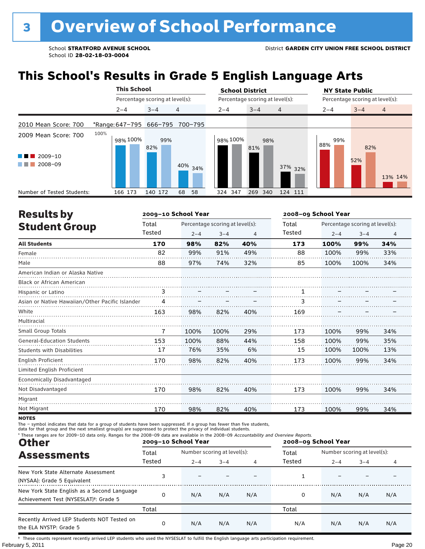## **This School's Results in Grade 5 English Language Arts**

|                                                             |      | <b>This School</b> |                                 |                                 | <b>School District</b> |                                 | <b>NY State Public</b>               |
|-------------------------------------------------------------|------|--------------------|---------------------------------|---------------------------------|------------------------|---------------------------------|--------------------------------------|
|                                                             |      |                    | Percentage scoring at level(s): |                                 |                        | Percentage scoring at level(s): | Percentage scoring at level(s):      |
|                                                             |      | $2 - 4$            | $3 - 4$                         | $\overline{4}$                  | $2 - 4$                | $3 - 4$<br>$\overline{4}$       | $\overline{4}$<br>$2 - 4$<br>$3 - 4$ |
| 2010 Mean Score: 700                                        |      |                    |                                 | *Range: 647-795 666-795 700-795 |                        |                                 |                                      |
| 2009 Mean Score: 700<br>2009-10<br><b>Contract Contract</b> | 100% | 98% 100%           | 99%<br>82%                      |                                 | 98% 100%               | 98%<br>81%                      | 99%<br>88%<br>82%<br>52%             |
| 2008-09<br>a sa Tan                                         |      |                    |                                 | 40% 34%                         |                        | 37% 32%                         | 13% 14%                              |
| Number of Tested Students:                                  |      | 166 173            | 140 172                         | 68<br>58                        | 324 347                | 269<br>340<br>124 111           |                                      |

| <b>Results by</b>                               |        | 2009-10 School Year |                                 |     | 2008-09 School Year |         |                                 |     |
|-------------------------------------------------|--------|---------------------|---------------------------------|-----|---------------------|---------|---------------------------------|-----|
| <b>Student Group</b>                            | Total  |                     | Percentage scoring at level(s): |     |                     |         | Percentage scoring at level(s): |     |
|                                                 | Tested | $2 - 4$             | $3 - 4$                         | 4   | Tested              | $2 - 4$ | $3 - 4$                         | 4   |
| <b>All Students</b>                             | 170    | 98%                 | 82%                             | 40% | 173                 | 100%    | 99%                             | 34% |
| Female                                          | 82     | 99%                 | 91%                             | 49% | 88                  | 100%    | 99%                             | 33% |
| Male                                            | 88     | 97%                 | 74%                             | 32% | 85                  | 100%    | 100%                            | 34% |
| American Indian or Alaska Native                |        |                     |                                 |     |                     |         |                                 |     |
| <b>Black or African American</b>                |        |                     |                                 |     |                     |         |                                 |     |
| Hispanic or Latino                              | 3      |                     |                                 |     |                     |         |                                 |     |
| Asian or Native Hawaiian/Other Pacific Islander | 4      |                     |                                 |     | 3                   |         |                                 |     |
| White                                           | 163    | 98%                 | 82%                             | 40% | 169                 |         |                                 |     |
| Multiracial                                     |        |                     |                                 |     |                     |         |                                 |     |
| <b>Small Group Totals</b>                       | 7      | 100%                | 100%                            | 29% | 173                 | 100%    | 99%                             | 34% |
| <b>General-Education Students</b>               | 153    | 100%                | 88%                             | 44% | 158                 | 100%    | 99%                             | 35% |
| <b>Students with Disabilities</b>               | 17     | 76%                 | 35%                             | 6%  | 15                  | 100%    | 100%                            | 13% |
| English Proficient                              | 170    | 98%                 | 82%                             | 40% | 173                 | 100%    | 99%                             | 34% |
| Limited English Proficient                      |        |                     |                                 |     |                     |         |                                 |     |
| <b>Economically Disadvantaged</b>               |        |                     |                                 |     |                     |         |                                 |     |
| Not Disadvantaged                               | 170    | 98%                 | 82%                             | 40% | 173                 | 100%    | 99%                             | 34% |
| Migrant                                         |        |                     |                                 |     |                     |         |                                 |     |
| Not Migrant                                     | 170    | 98%                 | 82%                             | 40% | 173                 | 100%    | 99%                             | 34% |

**NOTES** 

The – symbol indicates that data for a group of students have been suppressed. If a group has fewer than five students,<br>data for that group and the next smallest group(s) are suppressed to protect the privacy of individual

| * These ranges are for 2009-10 data only. Ranges for the 2008-09 data are available in the 2008-09 Accountability and Overview Reports.<br><b>Other</b> |                 | 2009-10 School Year                    |         |                | 2008-09 School Year |                                        |         |     |
|---------------------------------------------------------------------------------------------------------------------------------------------------------|-----------------|----------------------------------------|---------|----------------|---------------------|----------------------------------------|---------|-----|
| <b>Assessments</b>                                                                                                                                      | Total<br>Tested | Number scoring at level(s):<br>$2 - 4$ | $3 - 4$ | $\overline{4}$ | Total<br>Tested     | Number scoring at level(s):<br>$2 - 4$ | $3 - 4$ | 4   |
| New York State Alternate Assessment<br>(NYSAA): Grade 5 Equivalent                                                                                      |                 |                                        |         |                |                     |                                        |         |     |
| New York State English as a Second Language<br>Achievement Test (NYSESLAT) <sup>+</sup> : Grade 5                                                       | 0               | N/A                                    | N/A     | N/A            |                     | N/A                                    | N/A     | N/A |
|                                                                                                                                                         | Total           |                                        |         |                | Total               |                                        |         |     |
| Recently Arrived LEP Students NOT Tested on<br>the ELA NYSTP: Grade 5                                                                                   | 0               | N/A                                    | N/A     | N/A            | N/A                 | N/A                                    | N/A     | N/A |

February 5, 2011 **Page 20** † These counts represent recently arrived LEP students who used the NYSESLAT to fulfill the English language arts participation requirement.